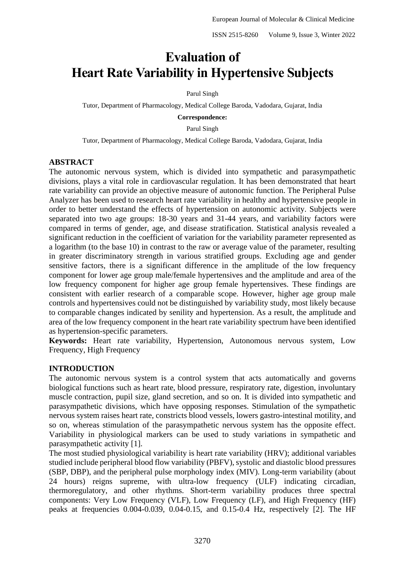# **Evaluation of Heart Rate Variability in Hypertensive Subjects**

# Parul Singh

Tutor, Department of Pharmacology, Medical College Baroda, Vadodara, Gujarat, India

**Correspondence:**

Parul Singh

Tutor, Department of Pharmacology, Medical College Baroda, Vadodara, Gujarat, India

# **ABSTRACT**

The autonomic nervous system, which is divided into sympathetic and parasympathetic divisions, plays a vital role in cardiovascular regulation. It has been demonstrated that heart rate variability can provide an objective measure of autonomic function. The Peripheral Pulse Analyzer has been used to research heart rate variability in healthy and hypertensive people in order to better understand the effects of hypertension on autonomic activity. Subjects were separated into two age groups: 18-30 years and 31-44 years, and variability factors were compared in terms of gender, age, and disease stratification. Statistical analysis revealed a significant reduction in the coefficient of variation for the variability parameter represented as a logarithm (to the base 10) in contrast to the raw or average value of the parameter, resulting in greater discriminatory strength in various stratified groups. Excluding age and gender sensitive factors, there is a significant difference in the amplitude of the low frequency component for lower age group male/female hypertensives and the amplitude and area of the low frequency component for higher age group female hypertensives. These findings are consistent with earlier research of a comparable scope. However, higher age group male controls and hypertensives could not be distinguished by variability study, most likely because to comparable changes indicated by senility and hypertension. As a result, the amplitude and area of the low frequency component in the heart rate variability spectrum have been identified as hypertension-specific parameters.

**Keywords:** Heart rate variability, Hypertension, Autonomous nervous system, Low Frequency, High Frequency

# **INTRODUCTION**

The autonomic nervous system is a control system that acts automatically and governs biological functions such as heart rate, blood pressure, respiratory rate, digestion, involuntary muscle contraction, pupil size, gland secretion, and so on. It is divided into sympathetic and parasympathetic divisions, which have opposing responses. Stimulation of the sympathetic nervous system raises heart rate, constricts blood vessels, lowers gastro-intestinal motility, and so on, whereas stimulation of the parasympathetic nervous system has the opposite effect. Variability in physiological markers can be used to study variations in sympathetic and parasympathetic activity [1].

The most studied physiological variability is heart rate variability (HRV); additional variables studied include peripheral blood flow variability (PBFV), systolic and diastolic blood pressures (SBP, DBP), and the peripheral pulse morphology index (MIV). Long-term variability (about 24 hours) reigns supreme, with ultra-low frequency (ULF) indicating circadian, thermoregulatory, and other rhythms. Short-term variability produces three spectral components: Very Low Frequency (VLF), Low Frequency (LF), and High Frequency (HF) peaks at frequencies 0.004-0.039, 0.04-0.15, and 0.15-0.4 Hz, respectively [2]. The HF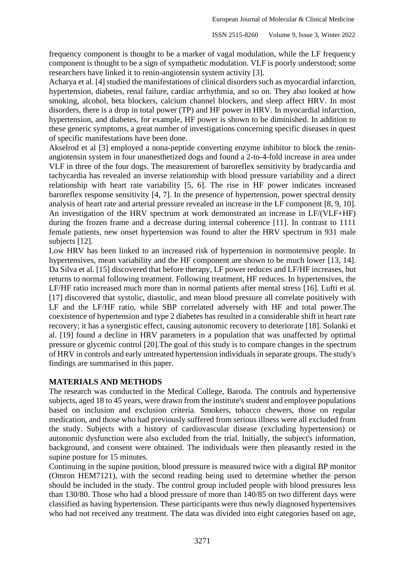frequency component is thought to be a marker of vagal modulation, while the LF frequency component is thought to be a sign of sympathetic modulation. VLF is poorly understood; some researchers have linked it to renin-angiotensin system activity [3].

Acharya et al. [4] studied the manifestations of clinical disorders such as myocardial infarction, hypertension, diabetes, renal failure, cardiac arrhythmia, and so on. They also looked at how smoking, alcohol, beta blockers, calcium channel blockers, and sleep affect HRV. In most disorders, there is a drop in total power (TP) and HF power in HRV. In myocardial infarction, hypertension, and diabetes, for example, HF power is shown to be diminished. In addition to these generic symptoms, a great number of investigations concerning specific diseases in quest of specific manifestations have been done.

Akselrod et al [3] employed a nona-peptide converting enzyme inhibitor to block the reninangiotensin system in four unanesthetized dogs and found a 2-to-4-fold increase in area under VLF in three of the four dogs. The measurement of baroreflex sensitivity by bradycardia and tachycardia has revealed an inverse relationship with blood pressure variability and a direct relationship with heart rate variability [5, 6]. The rise in HF power indicates increased baroreflex response sensitivity [4, 7]. In the presence of hypertension, power spectral density analysis of heart rate and arterial pressure revealed an increase in the LF component [8, 9, 10]. An investigation of the HRV spectrum at work demonstrated an increase in LF/(VLF+HF) during the frozen frame and a decrease during internal coherence [11]. In contrast to 1111 female patients, new onset hypertension was found to alter the HRV spectrum in 931 male subjects [12].

Low HRV has been linked to an increased risk of hypertension in normotensive people. In hypertensives, mean variability and the HF component are shown to be much lower [13, 14]. Da Silva et al. [15] discovered that before therapy, LF power reduces and LF/HF increases, but returns to normal following treatment. Following treatment, HF reduces. In hypertensives, the LF/HF ratio increased much more than in normal patients after mental stress [16]. Lufti et al. [17] discovered that systolic, diastolic, and mean blood pressure all correlate positively with LF and the LF/HF ratio, while SBP correlated adversely with HF and total power.The coexistence of hypertension and type 2 diabetes has resulted in a considerable shift in heart rate recovery; it has a synergistic effect, causing autonomic recovery to deteriorate [18]. Solanki et al. [19] found a decline in HRV parameters in a population that was unaffected by optimal pressure or glycemic control [20].The goal of this study is to compare changes in the spectrum of HRV in controls and early untreated hypertension individuals in separate groups. The study's findings are summarised in this paper.

# **MATERIALS AND METHODS**

The research was conducted in the Medical College, Baroda. The controls and hypertensive subjects, aged 18 to 45 years, were drawn from the institute's student and employee populations based on inclusion and exclusion criteria. Smokers, tobacco chewers, those on regular medication, and those who had previously suffered from serious illness were all excluded from the study. Subjects with a history of cardiovascular disease (excluding hypertension) or autonomic dysfunction were also excluded from the trial. Initially, the subject's information, background, and consent were obtained. The individuals were then pleasantly rested in the supine posture for 15 minutes.

Continuing in the supine position, blood pressure is measured twice with a digital BP monitor (Omron HEM7121), with the second reading being used to determine whether the person should be included in the study. The control group included people with blood pressures less than 130/80. Those who had a blood pressure of more than 140/85 on two different days were classified as having hypertension. These participants were thus newly diagnosed hypertensives who had not received any treatment. The data was divided into eight categories based on age,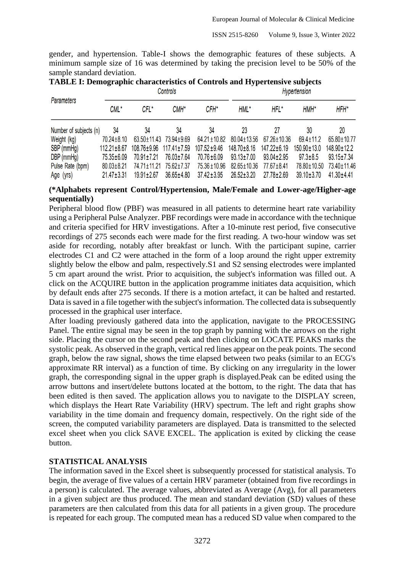gender, and hypertension. Table-I shows the demographic features of these subjects. A minimum sample size of 16 was determined by taking the precision level to be 50% of the sample standard deviation.

| <b>TABLE I: Demographic characteristics of Controls and Hypertensive subjects</b>                                                                                                                                                  |
|------------------------------------------------------------------------------------------------------------------------------------------------------------------------------------------------------------------------------------|
| <b>I</b> I am a send a second a sense of the sense of the sense of the sense of the sense of the sense of the sense of the sense of the sense of the sense of the sense of the sense of the sense of the sense of the sense of the |

|                        |                   |                         | CONTINUIS        |                   | <b>Hypertension</b> |                  |                   |                  |  |
|------------------------|-------------------|-------------------------|------------------|-------------------|---------------------|------------------|-------------------|------------------|--|
| <b>Parameters</b>      | CML*              | CFL*                    | CMH <sup>*</sup> | CFH*              | HML*                | HFL*             | $HMH^*$           | HFH*             |  |
| Number of subjects (n) | 34                | 34                      | 34               | 34                | 23                  | 27               | 30                | 20               |  |
| Weight (kg)            | 70.24±8.10        | 63.50±11.43 73.94±9.69  |                  | 64.21 ± 10.82     | 80.04±13.56         | 67.26±10.36      | $69.4 \pm 11.2$   | 65.80±10.77      |  |
| SBP (mmHg)             | $112.21 \pm 8.67$ | 108.76±9.96 117.41±7.59 |                  | $107.52 \pm 9.46$ | 148.70±8.16         | 147.22±6.19      | $150.90 \pm 13.0$ | 148.90±12.2      |  |
| DBP (mmHg)             | 75.35±6.09        | 70.91±7.21              | 76.03±7.64       | 70.76 ± 6.09      | $93.13 \pm 7.00$    | $93.04 \pm 2.95$ | $97.3 \pm 8.5$    | $93.15 \pm 7.34$ |  |
| Pulse Rate (bpm)       | $80.03 \pm 8.21$  | 74.71±11.21             | 75.62±7.37       | 75.36 ± 10.96     | 82.65±10.36         | 77.67±8.41       | 78.80±10.50       | 73.40±11.46      |  |
| Age (yrs)              | $21.47 \pm 3.31$  | $19.91 \pm 2.67$        | $36.65 \pm 4.80$ | $37.42 \pm 3.95$  | $26.52 \pm 3.20$    | 27.78±2.69       | $39.10 \pm 3.70$  | $41.30 \pm 4.41$ |  |

# **(\*Alphabets represent Control/Hypertension, Male/Female and Lower-age/Higher-age sequentially)**

Peripheral blood flow (PBF) was measured in all patients to determine heart rate variability using a Peripheral Pulse Analyzer. PBF recordings were made in accordance with the technique and criteria specified for HRV investigations. After a 10-minute rest period, five consecutive recordings of 275 seconds each were made for the first reading. A two-hour window was set aside for recording, notably after breakfast or lunch. With the participant supine, carrier electrodes C1 and C2 were attached in the form of a loop around the right upper extremity slightly below the elbow and palm, respectively.S1 and S2 sensing electrodes were implanted 5 cm apart around the wrist. Prior to acquisition, the subject's information was filled out. A click on the ACQUIRE button in the application programme initiates data acquisition, which by default ends after 275 seconds. If there is a motion artefact, it can be halted and restarted. Data is saved in a file together with the subject's information. The collected data is subsequently processed in the graphical user interface.

After loading previously gathered data into the application, navigate to the PROCESSING Panel. The entire signal may be seen in the top graph by panning with the arrows on the right side. Placing the cursor on the second peak and then clicking on LOCATE PEAKS marks the systolic peak. As observed in the graph, vertical red lines appear on the peak points. The second graph, below the raw signal, shows the time elapsed between two peaks (similar to an ECG's approximate RR interval) as a function of time. By clicking on any irregularity in the lower graph, the corresponding signal in the upper graph is displayed.Peak can be edited using the arrow buttons and insert/delete buttons located at the bottom, to the right. The data that has been edited is then saved. The application allows you to navigate to the DISPLAY screen, which displays the Heart Rate Variability (HRV) spectrum. The left and right graphs show variability in the time domain and frequency domain, respectively. On the right side of the screen, the computed variability parameters are displayed. Data is transmitted to the selected excel sheet when you click SAVE EXCEL. The application is exited by clicking the cease button.

# **STATISTICAL ANALYSIS**

The information saved in the Excel sheet is subsequently processed for statistical analysis. To begin, the average of five values of a certain HRV parameter (obtained from five recordings in a person) is calculated. The average values, abbreviated as Average (Avg), for all parameters in a given subject are thus produced. The mean and standard deviation (SD) values of these parameters are then calculated from this data for all patients in a given group. The procedure is repeated for each group. The computed mean has a reduced SD value when compared to the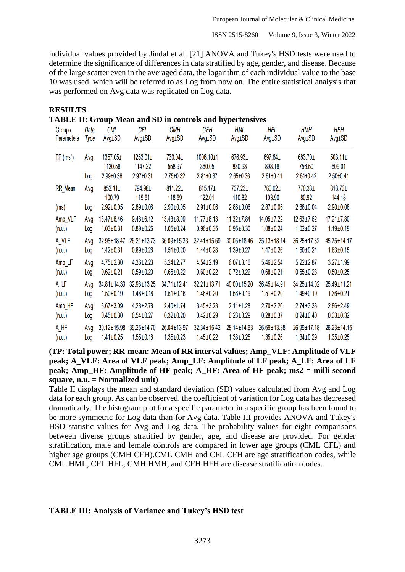individual values provided by Jindal et al. [21].ANOVA and Tukey's HSD tests were used to determine the significance of differences in data stratified by age, gender, and disease. Because of the large scatter even in the averaged data, the logarithm of each individual value to the base 10 was used, which will be referred to as Log from now on. The entire statistical analysis that was performed on Avg data was replicated on Log data.

| ABLE II: Group Mean and SD in controls and hypertensives |      |                        |                     |                        |                        |                   |                   |                   |                        |  |
|----------------------------------------------------------|------|------------------------|---------------------|------------------------|------------------------|-------------------|-------------------|-------------------|------------------------|--|
| <b>Groups</b>                                            | Data | <b>CML</b>             | CFL                 | <b>CMH</b>             | <b>CFH</b>             | <b>HML</b>        | <b>HFL</b>        | <b>HMH</b>        | <b>HFH</b>             |  |
| <b>Parameters</b>                                        | Type | Avg±SD                 | Avg±SD              | Avg±SD                 | Avg±SD                 | Avg±SD            | Avg±SD            | Avg±SD            | Avg±SD                 |  |
| $TP(ms^2)$                                               | Avg  | 1357.05±<br>1120.56    | 1253.01±<br>1147.22 | 730.04±<br>558.97      | 1006.10±1<br>360.05    | 676.93±<br>830.93 | 697.64±<br>898.16 | 683.70±<br>756.50 | $503.11 \pm$<br>609.01 |  |
|                                                          | Log  | $2.99 \pm 0.36$        | $2.97 \pm 0.31$     | $2.75 \pm 0.32$        | $2.81 \pm 0.37$        | $2.65 \pm 0.36$   | $2.61 \pm 0.41$   | $2.64 \pm 0.42$   | $2.50 \pm 0.41$        |  |
| <b>RR</b> Mean                                           | Avg  | $852.11 \pm$<br>100.79 | 794.98±<br>115.51   | $811.22 \pm$<br>118.59 | $815.17 \pm$<br>122.01 | 737.23±<br>110.82 | 760.02±<br>103.90 | 770.33±<br>80.92  | $813.73 \pm$<br>144.18 |  |
| (ms)                                                     | Log  | $2.92 \pm 0.05$        | $2.89 \pm 0.06$     | $2.90 \pm 0.05$        | $2.91 \pm 0.06$        | $2.86 \pm 0.06$   | $2.87 \pm 0.06$   | $2.88 \pm 0.04$   | $2.90 \pm 0.08$        |  |
| Amp_VLF                                                  | Avg  | $13.47 \pm 8.46$       | $9.48 \pm 6.12$     | $13.43 \pm 8.09$       | $11.77 \pm 8.13$       | $11.32 \pm 7.84$  | 14.05±7.22        | $12.63 \pm 7.62$  | $17.21 \pm 7.80$       |  |
| (n.u.)                                                   | Log  | $1.03 \pm 0.31$        | $0.89 \pm 0.26$     | $1.05 \pm 0.24$        | $0.96 \pm 0.35$        | $0.95 \pm 0.30$   | $1.08 \pm 0.24$   | $1.02 \pm 0.27$   | $1.19 \pm 0.19$        |  |
| A_VLF                                                    | Avg  | 32.98±18.47            | 26.21±13.73         | 36.09±15.33            | 32.41±15.69            | 30.06±18.46       | $35.13 \pm 18.14$ | 36.25±17.32       | 45.75±14.17            |  |
| (n.u.)                                                   | Log  | $1.42 \pm 0.31$        | $0.89 \pm 0.26$     | $1.51 \pm 0.20$        | $1.44 \pm 0.28$        | $1.39 \pm 0.27$   | $1.47 \pm 0.26$   | $1.50 \pm 0.24$   | $1.63 \pm 0.15$        |  |
| Amp LF                                                   | Avg  | $4.75 \pm 2.30$        | $4.36 \pm 2.23$     | $5.24 \pm 2.77$        | $4.54 \pm 2.19$        | $6.07 \pm 3.16$   | $5.46 \pm 2.54$   | $5.22 \pm 2.87$   | $3.27 \pm 1.99$        |  |
| (n.u.)                                                   | Log  | $0.62 \pm 0.21$        | $0.59 \pm 0.20$     | $0.66 \pm 0.22$        | $0.60 \pm 0.22$        | $0.72 \pm 0.22$   | $0.68 \pm 0.21$   | $0.65 \pm 0.23$   | $0.50 \pm 0.25$        |  |
| A LF                                                     | Avg  | 34.81±14.33            | 32.98±13.25         | 34.71±12.41            | $32.21 \pm 13.71$      | 40.00±15.20       | 36.45±14.91       | 34.25±14.02       | 25.49±11.21            |  |
| (n.u.)                                                   | Log  | $1.50 \pm 0.19$        | $1.48 \pm 0.18$     | $1.51 \pm 0.16$        | $1.46 \pm 0.20$        | $1.56 \pm 0.19$   | $1.51 \pm 0.20$   | $1.49 \pm 0.19$   | $1.36 \pm 0.21$        |  |
| Amp_HF                                                   | Avg  | $3.67 \pm 3.09$        | $4.28 \pm 2.78$     | $2.40 \pm 1.74$        | $3.45 \pm 3.23$        | $2.11 \pm 1.28$   | $2.70 \pm 2.26$   | $2.74 \pm 3.33$   | $2.86 \pm 2.49$        |  |
| (n.u.)                                                   | Log  | $0.45 \pm 0.30$        | $0.54 \pm 0.27$     | $0.32 \pm 0.20$        | $0.42 \pm 0.29$        | $0.23 \pm 0.29$   | $0.28 \pm 0.37$   | $0.24 \pm 0.40$   | $0.33 \pm 0.32$        |  |
| A HF                                                     | Avg  | $30.12 \pm 15.98$      | 39.25±14.70         | 26.04±13.97            | 32.34±15.42            | 28.14±14.63       | 26.69±13.38       | 26.99±17.18       | 26.23±14.15            |  |
| (n.u.)                                                   | Log  | $1.41 \pm 0.25$        | $1.55 \pm 0.18$     | $1.35 \pm 0.23$        | $1.45 \pm 0.22$        | $1.38 + 0.25$     | $1.35 \pm 0.26$   | $1.34 \pm 0.29$   | $1.35 \pm 0.25$        |  |

**RESULTS**<br>TARIEU  $\mathbf{M}$ :  $\mathbf{M}$ :  $\mathbf{M}$  **Mean and SD** in controls and  $\mathbf{M}$ 

**(TP: Total power; RR-mean: Mean of RR interval values; Amp\_VLF: Amplitude of VLF peak; A\_VLF: Area of VLF peak; Amp\_LF: Amplitude of LF peak; A\_LF: Area of LF peak; Amp\_HF: Amplitude of HF peak; A\_HF: Area of HF peak; ms2 = milli-second square, n.u. = Normalized unit)**

Table II displays the mean and standard deviation (SD) values calculated from Avg and Log data for each group. As can be observed, the coefficient of variation for Log data has decreased dramatically. The histogram plot for a specific parameter in a specific group has been found to be more symmetric for Log data than for Avg data. Table III provides ANOVA and Tukey's HSD statistic values for Avg and Log data. The probability values for eight comparisons between diverse groups stratified by gender, age, and disease are provided. For gender stratification, male and female controls are compared in lower age groups (CML CFL) and higher age groups (CMH CFH).CML CMH and CFL CFH are age stratification codes, while CML HML, CFL HFL, CMH HMH, and CFH HFH are disease stratification codes.

# **TABLE III: Analysis of Variance and Tukey's HSD test**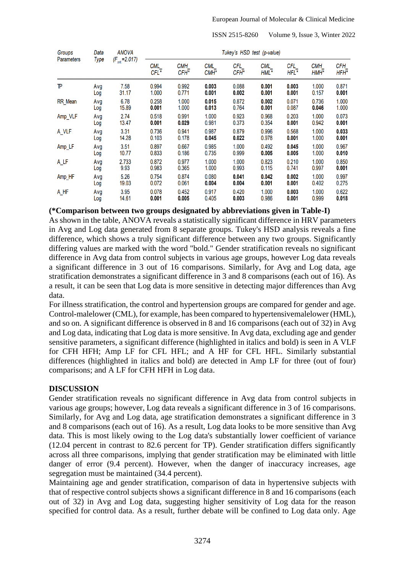ISSN 2515-8260 Volume 9, Issue 3, Winter 2022

| Groups<br><b>Parameters</b> | Data<br>Type | <b>ANOVA</b><br>$(F_{crit} = 2.017)$ | Tukey's HSD test (p-value) |                         |                         |                         |             |             |             |             |  |
|-----------------------------|--------------|--------------------------------------|----------------------------|-------------------------|-------------------------|-------------------------|-------------|-------------|-------------|-------------|--|
|                             |              |                                      | <b>CML</b><br>CFL*         | CMH<br>CFH <sup>*</sup> | CML<br>CMH <sup>*</sup> | CFL<br>CFH <sup>*</sup> | CML<br>HML* | CFL<br>HFL* | CMH<br>HMH* | CFH<br>HFH* |  |
| TP                          | Avg          | 7.58                                 | 0.994                      | 0.992                   | 0.003                   | 0.088                   | 0.001       | 0.003       | 1.000       | 0.871       |  |
|                             | Log          | 31.17                                | 1.000                      | 0.771                   | 0.001                   | 0.002                   | 0.001       | 0.001       | 0.157       | 0.001       |  |
| <b>RR</b> Mean              | Avg          | 6.78                                 | 0.258                      | 1.000                   | 0.015                   | 0.872                   | 0.002       | 0.071       | 0.736       | 1.000       |  |
|                             | Log          | 15.89                                | 0.001                      | 1.000                   | 0.013                   | 0.764                   | 0.001       | 0.087       | 0.046       | 1.000       |  |
| Amp_VLF                     | Avg          | 2.74                                 | 0.518                      | 0.991                   | 1.000                   | 0.923                   | 0.968       | 0.203       | 1.000       | 0.073       |  |
|                             | Log          | 13.47                                | 0.001                      | 0.029                   | 0.981                   | 0.373                   | 0.354       | 0.001       | 0.942       | 0.001       |  |
| A VLF                       | Avg          | 3.31                                 | 0.736                      | 0.941                   | 0.987                   | 0.879                   | 0.996       | 0.568       | 1.000       | 0.033       |  |
|                             | Log          | 14.28                                | 0.103                      | 0.178                   | 0.045                   | 0.022                   | 0.978       | 0.001       | 1.000       | 0.001       |  |
| Amp_LF                      | Avg          | 3.51                                 | 0.897                      | 0.667                   | 0.985                   | 1.000                   | 0.492       | 0.045       | 1.000       | 0.967       |  |
|                             | Log          | 10.77                                | 0.833                      | 0.186                   | 0.735                   | 0.999                   | 0.005       | 0.005       | 1.000       | 0.010       |  |
| A LF                        | Avg          | 2.733                                | 0.872                      | 0.977                   | 1.000                   | 1.000                   | 0.823       | 0.210       | 1.000       | 0.850       |  |
|                             | Log          | 9.93                                 | 0.983                      | 0.365                   | 1.000                   | 0.993                   | 0.115       | 0.741       | 0.997       | 0.001       |  |
| Amp_HF                      | Avg          | 5.26                                 | 0.754                      | 0.874                   | 0.080                   | 0.041                   | 0.042       | 0.002       | 1.000       | 0.997       |  |
|                             | Log          | 19.03                                | 0.072                      | 0.061                   | 0.004                   | 0.004                   | 0.001       | 0.001       | 0.402       | 0.275       |  |
| A HF                        | Avg          | 3.95                                 | 0.078                      | 0.452                   | 0.917                   | 0.420                   | 1.000       | 0.003       | 1.000       | 0.622       |  |
|                             | Loa          | 14.61                                | 0.001                      | 0.005                   | 0.405                   | 0.003                   | 0.986       | 0.001       | 0.999       | 0.018       |  |

# **(\*Comparison between two groups designated by abbreviations given in Table-I)**

As shown in the table, ANOVA reveals a statistically significant difference in HRV parameters in Avg and Log data generated from 8 separate groups. Tukey's HSD analysis reveals a fine difference, which shows a truly significant difference between any two groups. Significantly differing values are marked with the word "bold." Gender stratification reveals no significant difference in Avg data from control subjects in various age groups, however Log data reveals a significant difference in 3 out of 16 comparisons. Similarly, for Avg and Log data, age stratification demonstrates a significant difference in 3 and 8 comparisons (each out of 16). As a result, it can be seen that Log data is more sensitive in detecting major differences than Avg data.

For illness stratification, the control and hypertension groups are compared for gender and age. Control-malelower (CML), for example, has been compared to hypertensivemalelower (HML), and so on. A significant difference is observed in 8 and 16 comparisons (each out of 32) in Avg and Log data, indicating that Log data is more sensitive. In Avg data, excluding age and gender sensitive parameters, a significant difference (highlighted in italics and bold) is seen in A VLF for CFH HFH; Amp LF for CFL HFL; and A HF for CFL HFL. Similarly substantial differences (highlighted in italics and bold) are detected in Amp LF for three (out of four) comparisons; and A LF for CFH HFH in Log data.

# **DISCUSSION**

Gender stratification reveals no significant difference in Avg data from control subjects in various age groups; however, Log data reveals a significant difference in 3 of 16 comparisons. Similarly, for Avg and Log data, age stratification demonstrates a significant difference in 3 and 8 comparisons (each out of 16). As a result, Log data looks to be more sensitive than Avg data. This is most likely owing to the Log data's substantially lower coefficient of variance (12.04 percent in contrast to 82.6 percent for TP). Gender stratification differs significantly across all three comparisons, implying that gender stratification may be eliminated with little danger of error (9.4 percent). However, when the danger of inaccuracy increases, age segregation must be maintained (34.4 percent).

Maintaining age and gender stratification, comparison of data in hypertensive subjects with that of respective control subjects shows a significant difference in 8 and 16 comparisons (each out of 32) in Avg and Log data, suggesting higher sensitivity of Log data for the reason specified for control data. As a result, further debate will be confined to Log data only. Age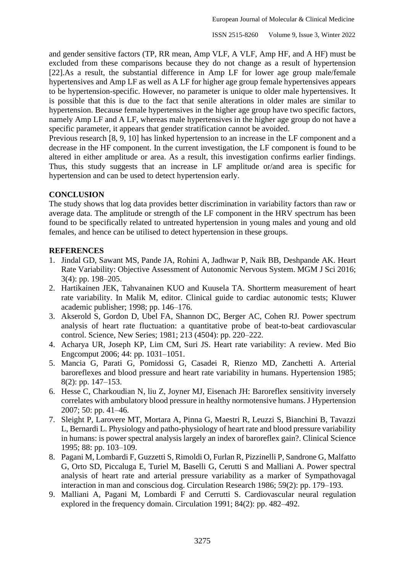and gender sensitive factors (TP, RR mean, Amp VLF, A VLF, Amp HF, and A HF) must be excluded from these comparisons because they do not change as a result of hypertension [22].As a result, the substantial difference in Amp LF for lower age group male/female hypertensives and Amp LF as well as A LF for higher age group female hypertensives appears to be hypertension-specific. However, no parameter is unique to older male hypertensives. It is possible that this is due to the fact that senile alterations in older males are similar to hypertension. Because female hypertensives in the higher age group have two specific factors, namely Amp LF and A LF, whereas male hypertensives in the higher age group do not have a specific parameter, it appears that gender stratification cannot be avoided.

Previous research [8, 9, 10] has linked hypertension to an increase in the LF component and a decrease in the HF component. In the current investigation, the LF component is found to be altered in either amplitude or area. As a result, this investigation confirms earlier findings. Thus, this study suggests that an increase in LF amplitude or/and area is specific for hypertension and can be used to detect hypertension early.

# **CONCLUSION**

The study shows that log data provides better discrimination in variability factors than raw or average data. The amplitude or strength of the LF component in the HRV spectrum has been found to be specifically related to untreated hypertension in young males and young and old females, and hence can be utilised to detect hypertension in these groups.

# **REFERENCES**

- 1. Jindal GD, Sawant MS, Pande JA, Rohini A, Jadhwar P, Naik BB, Deshpande AK. Heart Rate Variability: Objective Assessment of Autonomic Nervous System. MGM J Sci 2016; 3(4): pp. 198–205.
- 2. Hartikainen JEK, Tahvanainen KUO and Kuusela TA. Shortterm measurement of heart rate variability. In Malik M, editor. Clinical guide to cardiac autonomic tests; Kluwer academic publisher; 1998; pp. 146–176.
- 3. Akserold S, Gordon D, Ubel FA, Shannon DC, Berger AC, Cohen RJ. Power spectrum analysis of heart rate fluctuation: a quantitative probe of beat-to-beat cardiovascular control. Science, New Series; 1981; 213 (4504): pp. 220–222.
- 4. Acharya UR, Joseph KP, Lim CM, Suri JS. Heart rate variability: A review. Med Bio Engcomput 2006; 44: pp. 1031–1051.
- 5. Mancia G, Parati G, Pomidossi G, Casadei R, Rienzo MD, Zanchetti A. Arterial baroreflexes and blood pressure and heart rate variability in humans. Hypertension 1985; 8(2): pp. 147–153.
- 6. Hesse C, Charkoudian N, liu Z, Joyner MJ, Eisenach JH: Baroreflex sensitivity inversely correlates with ambulatory blood pressure in healthy normotensive humans. J Hypertension 2007; 50: pp. 41–46.
- 7. Sleight P, Larovere MT, Mortara A, Pinna G, Maestri R, Leuzzi S, Bianchini B, Tavazzi L, Bernardi L. Physiology and patho-physiology of heart rate and blood pressure variability in humans: is power spectral analysis largely an index of baroreflex gain?. Clinical Science 1995; 88: pp. 103–109.
- 8. Pagani M, Lombardi F, Guzzetti S, Rimoldi O, Furlan R, Pizzinelli P, Sandrone G, Malfatto G, Orto SD, Piccaluga E, Turiel M, Baselli G, Cerutti S and Malliani A. Power spectral analysis of heart rate and arterial pressure variability as a marker of Sympathovagal interaction in man and conscious dog. Circulation Research 1986; 59(2): pp. 179–193.
- 9. Malliani A, Pagani M, Lombardi F and Cerrutti S. Cardiovascular neural regulation explored in the frequency domain. Circulation 1991; 84(2): pp. 482–492.